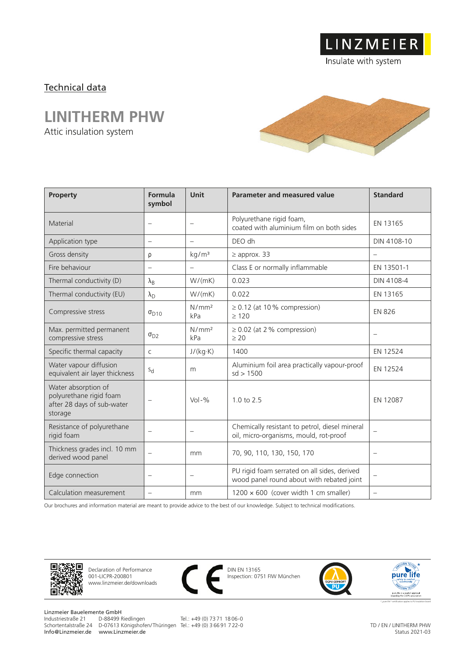### Technical data

## **LINITHERM PHW**

Attic insulation system



LINZMEIER

Insulate with system

| <b>Property</b>                                                                         | Formula<br>symbol        | Unit                     | Parameter and measured value                                                              | <b>Standard</b>          |
|-----------------------------------------------------------------------------------------|--------------------------|--------------------------|-------------------------------------------------------------------------------------------|--------------------------|
| Material                                                                                |                          |                          | Polyurethane rigid foam,<br>coated with aluminium film on both sides                      | EN 13165                 |
| Application type                                                                        | $\overline{\phantom{0}}$ | $\equiv$                 | DEO dh                                                                                    | DIN 4108-10              |
| Gross density                                                                           | ρ                        | kg/m <sup>3</sup>        | $\geq$ approx. 33                                                                         | $\overline{\phantom{0}}$ |
| Fire behaviour                                                                          | $\overline{\phantom{m}}$ | $\overline{\phantom{m}}$ | Class E or normally inflammable                                                           | EN 13501-1               |
| Thermal conductivity (D)                                                                | $\lambda_{\rm B}$        | W/(mK)                   | 0.023                                                                                     | DIN 4108-4               |
| Thermal conductivity (EU)                                                               | $\lambda_{\rm D}$        | W/(mK)                   | 0.022                                                                                     | EN 13165                 |
| Compressive stress                                                                      | $\sigma_{D10}$           | N/mm <sup>2</sup><br>kPa | $\geq$ 0.12 (at 10% compression)<br>>120                                                  | <b>EN 826</b>            |
| Max. permitted permanent<br>compressive stress                                          | $\sigma_{D2}$            | N/mm <sup>2</sup><br>kPa | $\geq$ 0.02 (at 2 % compression)<br>> 20                                                  | $\overline{\phantom{0}}$ |
| Specific thermal capacity                                                               | C                        | J/(kg·K)                 | 1400                                                                                      | EN 12524                 |
| Water vapour diffusion<br>equivalent air layer thickness                                | $S_{d}$                  | m                        | Aluminium foil area practically vapour-proof<br>sd > 1500                                 | EN 12524                 |
| Water absorption of<br>polyurethane rigid foam<br>after 28 days of sub-water<br>storage | $\overline{\phantom{0}}$ | $Vol-$ %                 | 10 to 25                                                                                  | EN 12087                 |
| Resistance of polyurethane<br>rigid foam                                                | $\overline{\phantom{0}}$ | $\overline{\phantom{m}}$ | Chemically resistant to petrol, diesel mineral<br>oil, micro-organisms, mould, rot-proof  | $\overline{\phantom{0}}$ |
| Thickness grades incl. 10 mm<br>derived wood panel                                      | $\overline{\phantom{0}}$ | mm                       | 70, 90, 110, 130, 150, 170                                                                | $\overline{\phantom{0}}$ |
| Edge connection                                                                         | $\overline{\phantom{0}}$ |                          | PU rigid foam serrated on all sides, derived<br>wood panel round about with rebated joint | $\overline{\phantom{0}}$ |
| Calculation measurement                                                                 |                          | mm                       | $1200 \times 600$ (cover width 1 cm smaller)                                              | $\overline{\phantom{0}}$ |

Our brochures and information material are meant to provide advice to the best of our knowledge. Subject to technical modifications.



Declaration of Performance 001-LICPR-200801 www.linzmeier.de/downloads



DIN EN 13165 Inspection: 0751 FIW München





Linzmeier Bauelemente GmbH Info@Linzmeier.de www.Linzmeier.de

Industriestraße 21 D-88499 Riedlingen Tel.: +49 (0) 73 71 18 06-0 Schortentalstraße 24 D-07613 Königshofen/ Thüringen Tel.: +49 (0) 3 66 91 7 22-0

TD / EN / LINITHERM PHW Status 2021-03